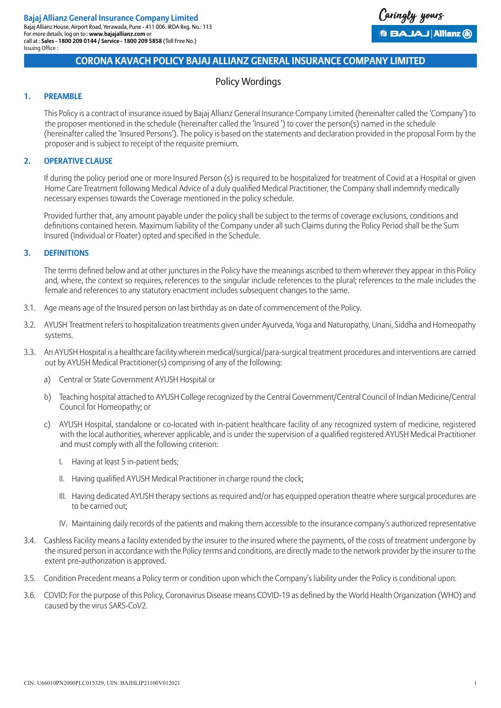Caringly yours

**B BAJAJ Allianz @** 

# Policy Wordings

#### **1. PREAMBLE**

 This Policy is a contract of insurance issued by Bajaj Allianz General Insurance Company Limited (hereinafter called the 'Company') to the proposer mentioned in the schedule (hereinafter called the 'Insured ') to cover the person(s) named in the schedule (hereinafter called the 'Insured Persons'). The policy is based on the statements and declaration provided in the proposal Form by the proposer and is subject to receipt of the requisite premium.

#### **2. OPERATIVE CLAUSE**

 If during the policy period one or more Insured Person (s) is required to be hospitalized for treatment of Covid at a Hospital or given Home Care Treatment following Medical Advice of a duly qualified Medical Practitioner, the Company shall indemnify medically necessary expenses towards the Coverage mentioned in the policy schedule.

 Provided further that, any amount payable under the policy shall be subject to the terms of coverage exclusions, conditions and definitions contained herein. Maximum liability of the Company under all such Claims during the Policy Period shall be the Sum Insured (Individual or Floater) opted and specified in the Schedule.

#### **3. DEFINITIONS**

 The terms defined below and at other junctures in the Policy have the meanings ascribed to them wherever they appear in this Policy and, where, the context so requires, references to the singular include references to the plural; references to the male includes the female and references to any statutory enactment includes subsequent changes to the same.

- 3.1. Age means age of the Insured person on last birthday as on date of commencement of the Policy.
- 3.2. AYUSH Treatment refers to hospitalization treatments given under Ayurveda, Yoga and Naturopathy, Unani, Siddha and Homeopathy systems.
- 3.3. An AYUSH Hospital is a healthcare facility wherein medical/surgical/para-surgical treatment procedures and interventions are carried out by AYUSH Medical Practitioner(s) comprising of any of the following:
	- a) Central or State Government AYUSH Hospital or
	- b) Teaching hospital attached to AYUSH College recognized by the Central Government/Central Council of Indian Medicine/Central Council for Homeopathy; or
	- c) AYUSH Hospital, standalone or co-located with in-patient healthcare facility of any recognized system of medicine, registered with the local authorities, wherever applicable, and is under the supervision of a qualified registered AYUSH Medical Practitioner and must comply with all the following criterion:
		- I. Having at least 5 in-patient beds;
		- II. Having qualified AYUSH Medical Practitioner in charge round the clock:
		- III. Having dedicated AYUSH therapy sections as required and/or has equipped operation theatre where surgical procedures are to be carried out;
		- IV. Maintaining daily records of the patients and making them accessible to the insurance company's authorized representative
- 3.4. Cashless Facility means a facility extended by the insurer to the insured where the payments, of the costs of treatment undergone by the insured person in accordance with the Policy terms and conditions, are directly made to the network provider by the insurer to the extent pre-authorization is approved.
- 3.5. Condition Precedent means a Policy term or condition upon which the Company's liability under the Policy is conditional upon.
- 3.6. COVID: For the purpose of this Policy, Coronavirus Disease means COVID-19 as defined by the World Health Organization (WHO) and caused by the virus SARS-CoV2.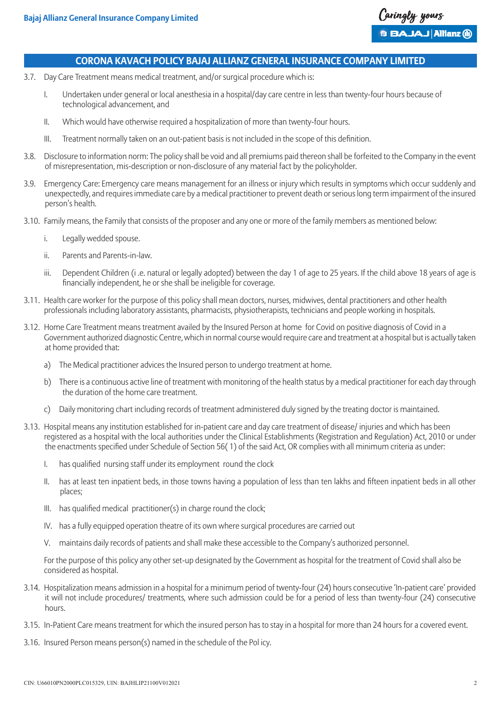

- 3.7. Day Care Treatment means medical treatment, and/or surgical procedure which is:
	- I. Undertaken under general or local anesthesia in a hospital/day care centre in less than twenty-four hours because of technological advancement, and
	- II. Which would have otherwise required a hospitalization of more than twenty-four hours.
	- III. Treatment normally taken on an out-patient basis is not included in the scope of this definition.
- 3.8. Disclosure to information norm: The policy shall be void and all premiums paid thereon shall be forfeited to the Company in the event of misrepresentation, mis-description or non-disclosure of any material fact by the policyholder.
- 3.9. Emergency Care: Emergency care means management for an illness or injury which results in symptoms which occur suddenly and unexpectedly, and requiresimmediate care by a medical practitioner to prevent death orseriouslong term impairment of the insured person's health.
- 3.10. Family means, the Family that consists of the proposer and any one or more of the family members as mentioned below:
	- i. Legally wedded spouse.
	- ii. Parents and Parents-in-law.
	- iii. Dependent Children (i .e. natural or legally adopted) between the day 1 of age to 25 years. If the child above 18 years of age is financially independent, he or she shall be ineligible for coverage.
- 3.11. Health care worker for the purpose of this policy shall mean doctors, nurses, midwives, dental practitioners and other health professionals including laboratory assistants, pharmacists, physiotherapists, technicians and people working in hospitals.
- 3.12. Home Care Treatment means treatment availed by the Insured Person at home for Covid on positive diagnosis of Covid in a Government authorized diagnostic Centre, which in normal course would require care and treatment at a hospital but is actually taken at home provided that:
	- a) The Medical practitioner advices the Insured person to undergo treatment at home.
	- b) There is a continuous active line of treatment with monitoring of the health status by a medical practitioner for each day through the duration of the home care treatment.
	- c) Daily monitoring chart including records of treatment administered duly signed by the treating doctor is maintained.
- 3.13. Hospital means any institution established for in-patient care and day care treatment of disease/ injuries and which has been registered as a hospital with the local authorities under the Clinical Establishments (Registration and Regulation) Act, 2010 or under the enactments specified under Schedule of Section 56( 1) of the said Act, OR complies with all minimum criteria as under:
	- I. has qualified nursing staff under its employment round the clock
	- II. has at least ten inpatient beds, in those towns having a population of less than ten lakhs and fifteen inpatient beds in all other places;
	- III. has qualified medical practitioner(s) in charge round the clock;
	- IV. has a fully equipped operation theatre of its own where surgical procedures are carried out
	- V. maintains daily records of patients and shall make these accessible to the Company's authorized personnel.

 For the purpose of this policy any other set-up designated by the Government as hospital for the treatment of Covid shall also be considered as hospital.

- 3.14. Hospitalization means admission in a hospital for a minimum period of twenty-four (24) hours consecutive 'In-patient care' provided it will not include procedures/ treatments, where such admission could be for a period of less than twenty-four (24) consecutive hours.
- 3.15. In-Patient Care means treatment for which the insured person has to stay in a hospital for more than 24 hours for a covered event.
- 3.16. Insured Person means person(s) named in the schedule of the Pol icy.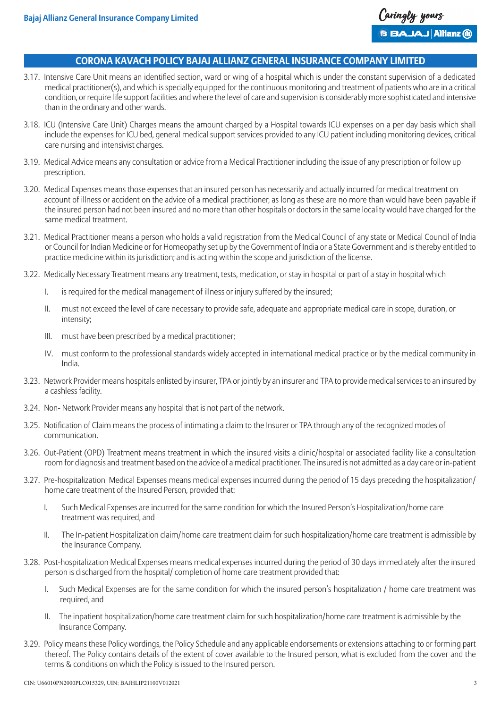

- 3.17. Intensive Care Unit means an identified section, ward or wing of a hospital which is under the constant supervision of a dedicated medical practitioner(s), and which is specially equipped for the continuous monitoring and treatment of patients who are in a critical condition, or require life support facilities andwhere the level of care and supervision is considerably more sophisticated and intensive than in the ordinary and other wards.
- 3.18. ICU (Intensive Care Unit) Charges means the amount charged by a Hospital towards ICU expenses on a per day basis which shall include the expenses for ICU bed, general medical support services provided to any ICU patient including monitoring devices, critical care nursing and intensivist charges.
- 3.19. Medical Advice means any consultation or advice from a Medical Practitioner including the issue of any prescription or follow up prescription.
- 3.20. Medical Expenses means those expenses that an insured person has necessarily and actually incurred for medical treatment on account of illness or accident on the advice of a medical practitioner, as long as these are no more than would have been payable if the insured person had not been insured and no more than other hospitals or doctorsin the same locality would have charged for the same medical treatment.
- 3.21. Medical Practitioner means a person who holds a valid registration from the Medical Council of any state or Medical Council of India or Council for Indian Medicine or for Homeopathy set up by the Government of India or a State Government and isthereby entitled to practice medicine within its jurisdiction; and is acting within the scope and jurisdiction of the license.
- 3.22. Medically Necessary Treatment means any treatment, tests, medication, or stay in hospital or part of a stay in hospital which
	- I. is required for the medical management of illness or injury suffered by the insured:
	- II. must not exceed the level of care necessary to provide safe, adequate and appropriate medical care in scope, duration, or intensity;
	- III. must have been prescribed by a medical practitioner;
	- IV. must conform to the professional standards widely accepted in international medical practice or by the medical community in India.
- 3.23. Network Provider means hospitals enlisted by insurer, TPA or jointly by an insurer and TPA to provide medical services to an insured by a cashless facility.
- 3.24. Non- Network Provider means any hospital that is not part of the network.
- 3.25. Notification of Claim means the process of intimating a claim to the Insurer or TPA through any of the recognized modes of communication.
- 3.26. Out-Patient (OPD) Treatment means treatment in which the insured visits a clinic/hospital or associated facility like a consultation room for diagnosis and treatment based on the advice of a medical practitioner. The insured is not admitted as a day care or in-patient
- 3.27. Pre-hospitalization Medical Expenses means medical expenses incurred during the period of 15 days preceding the hospitalization/ home care treatment of the Insured Person, provided that:
	- I. Such Medical Expenses are incurred for the same condition for which the Insured Person's Hospitalization/home care treatment was required, and
	- II. The In-patient Hospitalization claim/home care treatment claim for such hospitalization/home care treatment is admissible by the Insurance Company.
- 3.28. Post-hospitalization Medical Expenses means medical expenses incurred during the period of 30 days immediately after the insured person is discharged from the hospital/ completion of home care treatment provided that:
	- I. Such Medical Expenses are for the same condition for which the insured person's hospitalization / home care treatment was required, and
	- II. The inpatient hospitalization/home care treatment claim for such hospitalization/home care treatment is admissible by the Insurance Company.
- 3.29. Policy means these Policy wordings, the Policy Schedule and any applicable endorsements or extensions attaching to or forming part thereof. The Policy contains details of the extent of cover available to the Insured person, what is excluded from the cover and the terms & conditions on which the Policy is issued to the Insured person.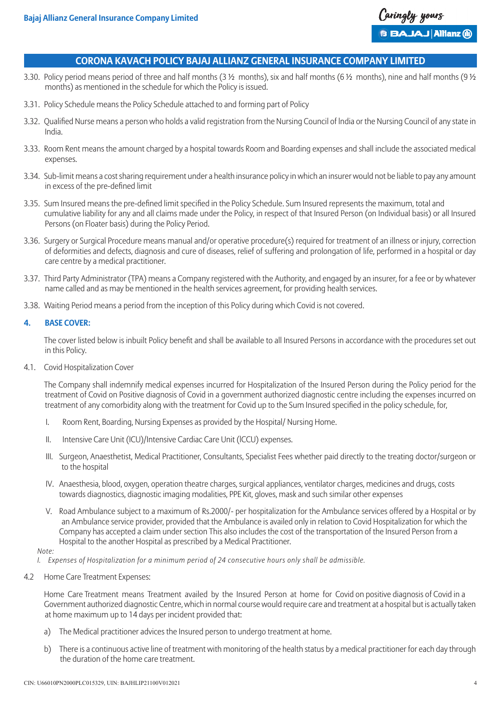

- 3.30. Policy period means period of three and half months (3  $\frac{1}{2}$  months), six and half months (6  $\frac{1}{2}$  months), nine and half months (9  $\frac{1}{2}$ months) as mentioned in the schedule for which the Policy is issued.
- 3.31. Policy Schedule means the Policy Schedule attached to and forming part of Policy
- 3.32. Qualified Nurse means a person who holds a valid registration from the Nursing Council of India or the Nursing Council of any state in India.
- 3.33. Room Rent means the amount charged by a hospital towards Room and Boarding expenses and shall include the associated medical expenses.
- 3.34. Sub-limit means a cost sharing requirement under a health insurance policy in which an insurer would not be liable to pay any amount in excess of the pre-defined limit
- 3.35. Sum Insured means the pre-defined limit specified in the Policy Schedule. Sum Insured represents the maximum, total and cumulative liability for any and all claims made under the Policy, in respect of that Insured Person (on Individual basis) or all Insured Persons (on Floater basis) during the Policy Period.
- 3.36. Surgery or Surgical Procedure means manual and/or operative procedure(s) required for treatment of an illness or injury, correction of deformities and defects, diagnosis and cure of diseases, relief of suffering and prolongation of life, performed in a hospital or day care centre by a medical practitioner.
- 3.37. Third Party Administrator (TPA) means a Company registered with the Authority, and engaged by an insurer, for a fee or by whatever name called and as may be mentioned in the health services agreement, for providing health services.
- 3.38. Waiting Period means a period from the inception of this Policy during which Covid is not covered.

#### **4. BASE COVER:**

 The cover listed below is inbuilt Policy benefit and shall be available to all Insured Persons in accordance with the procedures set out in this Policy.

4.1. Covid Hospitalization Cover

 The Company shall indemnify medical expenses incurred for Hospitalization of the Insured Person during the Policy period for the treatment of Covid on Positive diagnosis of Covid in a government authorized diagnostic centre including the expenses incurred on treatment of any comorbidity along with the treatment for Covid up to the Sum Insured specified in the policy schedule, for,

- I. Room Rent, Boarding, Nursing Expenses as provided by the Hospital/ Nursing Home.
- II. Intensive Care Unit (ICU)/Intensive Cardiac Care Unit (ICCU) expenses.
- III. Surgeon, Anaesthetist, Medical Practitioner, Consultants, Specialist Fees whether paid directly to the treating doctor/surgeon or to the hospital
- IV. Anaesthesia, blood, oxygen, operation theatre charges, surgical appliances, ventilator charges, medicines and drugs, costs towards diagnostics, diagnostic imaging modalities, PPE Kit, gloves, mask and such similar other expenses
- V. Road Ambulance subject to a maximum of Rs.2000/- per hospitalization for the Ambulance services offered by a Hospital or by an Ambulance service provider, provided that the Ambulance is availed only in relation to Covid Hospitalization for which the Company has accepted a claim under section This also includes the cost of the transportation of the Insured Person from a Hospital to the another Hospital as prescribed by a Medical Practitioner.

*Note:*

- *I. Expenses of Hospitalization for a minimum period of 24 consecutive hours only shall be admissible.*
- 4.2 Home Care Treatment Expenses:

 Home Care Treatment means Treatment availed by the Insured Person at home for Covid on positive diagnosis of Covid in a Government authorized diagnostic Centre, which in normal course would require care and treatment at a hospital but is actually taken at home maximum up to 14 days per incident provided that:

- a) The Medical practitioner advices the Insured person to undergo treatment at home.
- b) There is a continuous active line of treatment with monitoring of the health status by a medical practitioner for each day through the duration of the home care treatment.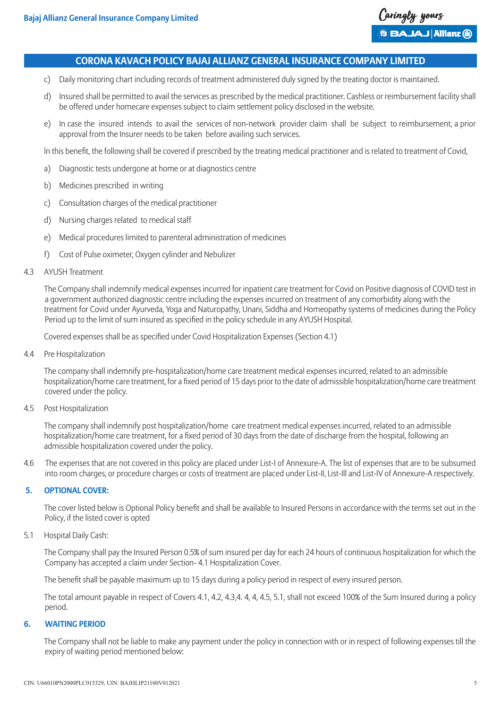

- c) Daily monitoring chart including records of treatment administered duly signed by the treating doctor is maintained.
- d) Insured shall be permitted to avail the services as prescribed by the medical practitioner. Cashless or reimbursement facility shall be offered under homecare expenses subject to claim settlement policy disclosed in the website.
- e) In case the insured intends to avail the services of non-network provider claim shall be subject to reimbursement, a prior approval from the Insurer needs to be taken before availing such services.

ln this benefit, the following shall be covered if prescribed by the treating medical practitioner and is related to treatment of Covid,

- a) Diagnostic tests undergone at home or at diagnostics centre
- b) Medicines prescribed in writing
- c) Consultation charges of the medical practitioner
- d) Nursing charges related to medical staff
- e) Medical procedures limited to parenteral administration of medicines
- f) Cost of Pulse oximeter, Oxygen cylinder and Nebulizer
- 4.3 AYUSH Treatment

The Company shall indemnify medical expenses incurred for inpatient care treatment for Covid on Positive diagnosis of COVID test in a government authorized diagnostic centre including the expenses incurred on treatment of any comorbidity along with the treatment for Covid under Ayurveda, Yoga and Naturopathy, Unani, Siddha and Homeopathy systems of medicines during the Policy Period up to the limit of sum insured as specified in the policy schedule in any AYUSH Hospital.

 Covered expenses shall be as specified under Covid Hospitalization Expenses (Section 4.1)

4.4 Pre Hospitalization

 The company shall indemnify pre-hospitalization/home care treatment medical expenses incurred, related to an admissible hospitalization/home care treatment, for a fixed period of 15 days prior to the date of admissible hospitalization/home care treatment covered under the policy.

4.5 Post Hospitalization

 The company shall indemnify post hospitalization/home care treatment medical expenses incurred, related to an admissible hospitalization/home care treatment, for a fixed period of 30 days from the date of discharge from the hospital, following an admissible hospitalization covered under the policy.

4.6 The expenses that are not covered in this policy are placed under List-I of Annexure-A. The list of expenses that are to be subsumed into room charges, or procedure charges or costs of treatment are placed under List-II, List-Ill and List-IV of Annexure-A respectively.

#### **5. OPTIONAL COVER:**

 The cover listed below is Optional Policy benefit and shall be available to Insured Persons in accordance with the terms set out in the Policy, if the listed cover is opted

5.1 Hospital Daily Cash:

 The Company shall pay the Insured Person 0.5% of sum insured per day for each 24 hours of continuous hospitalization for which the Company has accepted a claim under Section- 4.1 Hospitalization Cover.

 The benefit shall be payable maximum up to 15 days during a policy period in respect of every insured person.

 The total amount payable in respect of Covers 4.1, 4.2, 4.3,4. 4, 4, 4.5, 5.1, shall not exceed 100% of the Sum Insured during a policy period.

#### **6. WAITING PERIOD**

 The Company shall not be liable to make any payment under the policy in connection with or in respect of following expenses till the expiry of waiting period mentioned below: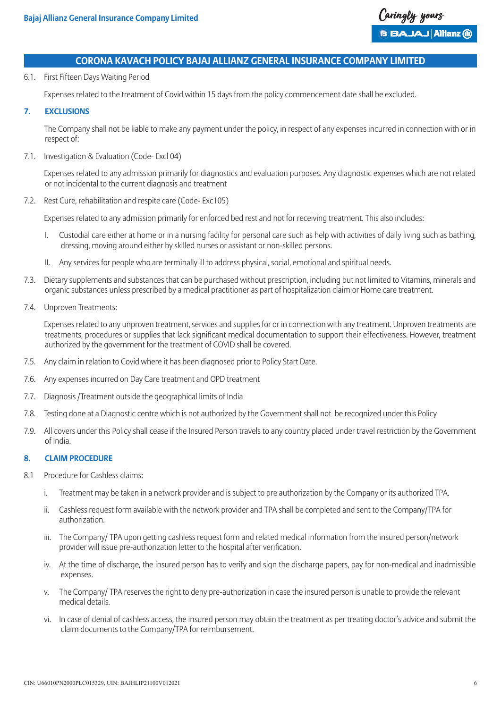

6.1. First Fifteen Days Waiting Period

 Expenses related to the treatment of Covid within 15 days from the policy commencement date shall be excluded.

#### **7. EXCLUSIONS**

 The Company shall not be liable to make any payment under the policy, in respect of any expenses incurred in connection with or in respect of:

7.1. Investigation & Evaluation (Code- Excl 04)

 Expenses related to any admission primarily for diagnostics and evaluation purposes. Any diagnostic expenses which are not related or not incidental to the current diagnosis and treatment

7.2. Rest Cure, rehabilitation and respite care (Code- Exc105)

 Expenses related to any admission primarily for enforced bed rest and not for receiving treatment. This also includes:

- I. Custodial care either at home or in a nursing facility for personal care such as help with activities of daily living such as bathing, dressing, moving around either by skilled nurses or assistant or non-skilled persons.
- II. Any services for people who are terminally ill to address physical, social, emotional and spiritual needs.
- 7.3. Dietary supplements and substances that can be purchased without prescription, including but not limited to Vitamins, minerals and organic substances unless prescribed by a medical practitioner as part of hospitalization claim or Home care treatment.
- 7.4. Unproven Treatments:

Expenses related to any unproven treatment, services and supplies for or in connection with any treatment. Unproven treatments are treatments, procedures or supplies that lack significant medical documentation to support their effectiveness. However, treatment authorized by the government for the treatment of COVID shall be covered.

- 7.5. Any claim in relation to Covid where it has been diagnosed prior to Policy Start Date.
- 7.6. Any expenses incurred on Day Care treatment and OPD treatment
- 7.7. Diagnosis /Treatment outside the geographical limits of India
- 7.8. Testing done at a Diagnostic centre which is not authorized by the Government shall not be recognized under this Policy
- 7.9. All covers under this Policy shall cease if the Insured Person travels to any country placed under travel restriction by the Government of India.

#### **8. CLAIM PROCEDURE**

- 8.1 Procedure for Cashless claims:
	- i. Treatment may be taken in a network provider and is subject to pre authorization by the Company or its authorized TPA.
	- ii. Cashless request form available with the network provider and TPA shall be completed and sent to the Company/TPA for authorization.
	- iii. The Company/ TPA upon getting cashless request form and related medical information from the insured person/network provider will issue pre-authorization letter to the hospital after verification.
	- iv. At the time of discharge, the insured person has to verify and sign the discharge papers, pay for non-medical and inadmissible expenses.
	- v. The Company/ TPA reserves the right to deny pre-authorization in case the insured person is unable to provide the relevant medical details.
	- vi. In case of denial of cashless access, the insured person may obtain the treatment as per treating doctor's advice and submit the claim documents to the Company/TPA for reimbursement.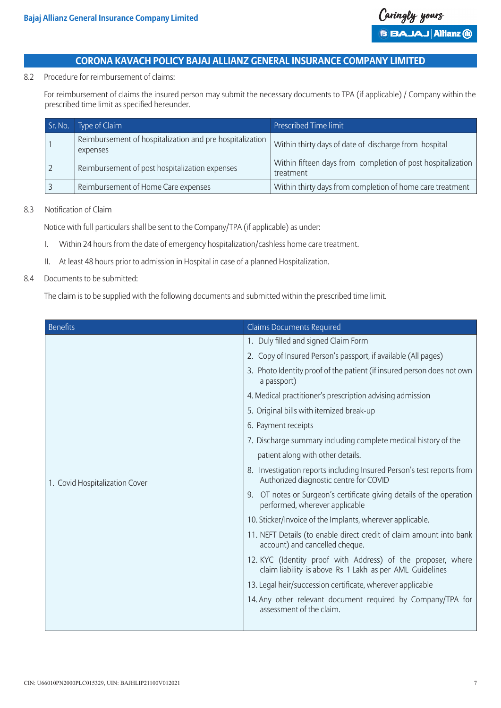#### 8.2 Procedure for reimbursement of claims:

 For reimbursement of claims the insured person may submit the necessary documents to TPA (if applicable) / Company within the prescribed time limit as specified hereunder.

| Sr. No. | Type of Claim                                                        | Prescribed Time limit                                                    |
|---------|----------------------------------------------------------------------|--------------------------------------------------------------------------|
|         | Reimbursement of hospitalization and pre hospitalization<br>expenses | Within thirty days of date of discharge from hospital                    |
|         | Reimbursement of post hospitalization expenses                       | Within fifteen days from completion of post hospitalization<br>treatment |
|         | Reimbursement of Home Care expenses                                  | Within thirty days from completion of home care treatment                |

#### 8.3 Notification of Claim

 Notice with full particulars shall be sent to the Company/TPA (if applicable) as under:

- I. Within 24 hours from the date of emergency hospitalization/cashless home care treatment.
- II. At least 48 hours prior to admission in Hospital in case of a planned Hospitalization.
- 8.4 Documents to be submitted:

 The claim is to be supplied with the following documents and submitted within the prescribed time limit.

| <b>Benefits</b>                | <b>Claims Documents Required</b>                                                                                         |
|--------------------------------|--------------------------------------------------------------------------------------------------------------------------|
|                                | 1. Duly filled and signed Claim Form                                                                                     |
|                                | 2. Copy of Insured Person's passport, if available (All pages)                                                           |
|                                | 3. Photo Identity proof of the patient (if insured person does not own<br>a passport)                                    |
|                                | 4. Medical practitioner's prescription advising admission                                                                |
|                                | 5. Original bills with itemized break-up                                                                                 |
|                                | 6. Payment receipts                                                                                                      |
|                                | 7. Discharge summary including complete medical history of the                                                           |
|                                | patient along with other details.                                                                                        |
| 1. Covid Hospitalization Cover | 8. Investigation reports including Insured Person's test reports from<br>Authorized diagnostic centre for COVID          |
|                                | 9. OT notes or Surgeon's certificate giving details of the operation<br>performed, wherever applicable                   |
|                                | 10. Sticker/Invoice of the Implants, wherever applicable.                                                                |
|                                | 11. NEFT Details (to enable direct credit of claim amount into bank<br>account) and cancelled cheque.                    |
|                                | 12. KYC (Identity proof with Address) of the proposer, where<br>claim liability is above Rs 1 Lakh as per AML Guidelines |
|                                | 13. Legal heir/succession certificate, wherever applicable                                                               |
|                                | 14. Any other relevant document required by Company/TPA for<br>assessment of the claim.                                  |
|                                |                                                                                                                          |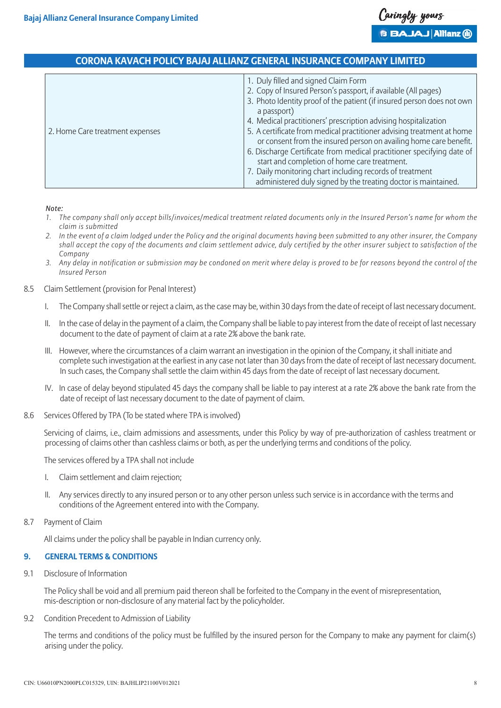

|                                 | 1. Duly filled and signed Claim Form<br>2. Copy of Insured Person's passport, if available (All pages)<br>3. Photo Identity proof of the patient (if insured person does not own<br>a passport)                                                                                                                                                                                                                                                                      |
|---------------------------------|----------------------------------------------------------------------------------------------------------------------------------------------------------------------------------------------------------------------------------------------------------------------------------------------------------------------------------------------------------------------------------------------------------------------------------------------------------------------|
| 2. Home Care treatment expenses | 4. Medical practitioners' prescription advising hospitalization<br>5. A certificate from medical practitioner advising treatment at home<br>or consent from the insured person on availing home care benefit.<br>6. Discharge Certificate from medical practitioner specifying date of<br>start and completion of home care treatment.<br>7. Daily monitoring chart including records of treatment<br>administered duly signed by the treating doctor is maintained. |

*Note:*

- 1. The company shall only accept bills/invoices/medical treatment related documents only in the Insured Person's name for whom the *claim is submitted*
- 2. In the event of a claim lodged under the Policy and the original documents having been submitted to any other insurer, the Company shall accept the copy of the documents and claim settlement advice, duly certified by the other insurer subject to satisfaction of the *Company*
- 3. Any delay in notification or submission may be condoned on merit where delay is proved to be for reasons beyond the control of the *Insured Person*
- 8.5 Claim Settlement (provision for Penal Interest)
	- I. The Company shall settle or reject a claim, as the case may be, within 30 days from the date of receipt of last necessary document.
	- II. In the case of delay in the payment of a claim, the Company shall be liable to pay interest from the date of receipt of last necessary document to the date of payment of claim at a rate 2% above the bank rate.
	- III. However, where the circumstances of a claim warrant an investigation in the opinion of the Company, it shall initiate and complete such investigation at the earliest in any case not later than 30 daysfrom the date of receipt of last necessary document. In such cases, the Company shall settle the claim within 45 days from the date of receipt of last necessary document.
	- IV. In case of delay beyond stipulated 45 days the company shall be liable to pay interest at a rate 2% above the bank rate from the date of receipt of last necessary document to the date of payment of claim.
- 8.6 Services Offered by TPA (To be stated where TPA is involved)

 Servicing of claims, i.e., claim admissions and assessments, under this Policy by way of pre-authorization of cashless treatment or processing of claims other than cashless claims or both, as per the underlying terms and conditions of the policy.

 The services offered by a TPA shall not include

- I. Claim settlement and claim rejection;
- II. Any services directly to any insured person or to any other person unless such service is in accordance with the terms and conditions of the Agreement entered into with the Company.
- 8.7 Payment of Claim

 All claims under the policy shall be payable in Indian currency only.

#### **9. GENERAL TERMS & CONDITIONS**

9.1 Disclosure of Information

 The Policy shall be void and all premium paid thereon shall be forfeited to the Company in the event of misrepresentation, mis-description or non-disclosure of any material fact by the policyholder.

9.2 Condition Precedent to Admission of Liability

 The terms and conditions of the policy must be fulfilled by the insured person for the Company to make any payment for claim(s) arising under the policy.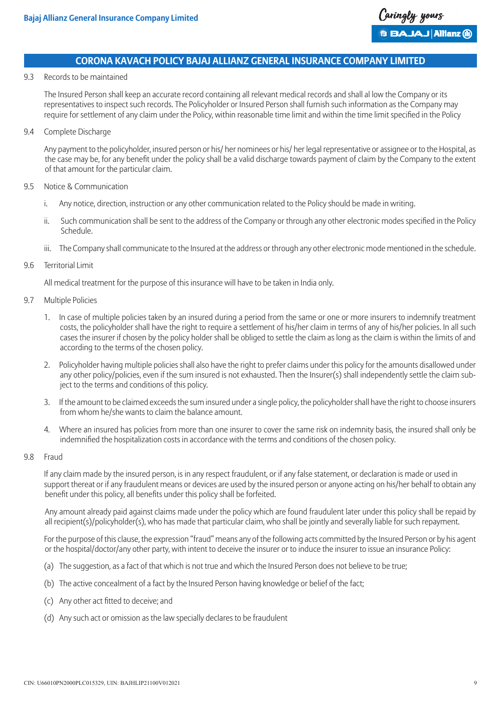#### 9.3 Records to be maintained

 The Insured Person shall keep an accurate record containing all relevant medical records and shall al low the Company or its representatives to inspect such records. The Policyholder or Insured Person shall furnish such information as the Company may require for settlement of any claim under the Policy, within reasonable time limit and within the time limit specified in the Policy

9.4 Complete Discharge

 Any payment to the policyholder, insured person or his/ her nominees or his/ her legal representative or assignee or to the Hospital, as the case may be, for any benefit under the policy shall be a valid discharge towards payment of claim by the Company to the extent of that amount for the particular claim.

#### 9.5 Notice & Communication

- i. Any notice, direction, instruction or any other communication related to the Policy should be made in writing.
- ii. Such communication shall be sent to the address of the Company or through any other electronic modes specified in the Policy Schedule.
- iii. The Company shall communicate to the Insured at the address or through any other electronic mode mentioned in the schedule.
- 9.6 Territorial Limit

 All medical treatment for the purpose of this insurance will have to be taken in India only.

- 9.7 Multiple Policies
	- 1. In case of multiple policies taken by an insured during a period from the same or one or more insurers to indemnify treatment costs, the policyholder shall have the right to require a settlement of his/her claim in terms of any of his/her policies. In all such cases the insurer if chosen by the policy holder shall be obliged to settle the claim as long as the claim is within the limits of and according to the terms of the chosen policy.
	- 2. Policyholder having multiple policies shall also have the right to prefer claims under this policy for the amounts disallowed under any other policy/policies, even if the sum insured is not exhausted. Then the Insurer(s) shall independently settle the claim subject to the terms and conditions of this policy.
	- 3. If the amount to be claimed exceedsthe sum insured under a single policy, the policyholdershall have the right to choose insurers from whom he/she wants to claim the balance amount.
	- 4. Where an insured has policies from more than one insurer to cover the same risk on indemnity basis, the insured shall only be indemnified the hospitalization costs in accordance with the terms and conditions of the chosen policy.

#### 9.8 Fraud

 If any claim made by the insured person, is in any respect fraudulent, or if any false statement, or declaration is made or used in support thereat or if any fraudulent means or devices are used by the insured person or anyone acting on his/her behalf to obtain any benefit under this policy, all benefits under this policy shall be forfeited.

 Any amount already paid against claims made under the policy which are found fraudulent later under this policy shall be repaid by all recipient(s)/policyholder(s), who has made that particular claim, who shall be jointly and severally liable for such repayment.

 For the purpose of this clause, the expression "fraud" means any of the following acts committed by the Insured Person or by his agent or the hospital/doctor/any other party, with intent to deceive the insurer or to induce the insurer to issue an insurance Policy:

- (a) The suggestion, as a fact of that which is not true and which the Insured Person does not believe to be true;
- (b) The active concealment of a fact by the Insured Person having knowledge or belief of the fact;
- (c) Any other act fitted to deceive; and
- (d) Any such act or omission as the law specially declares to be fraudulent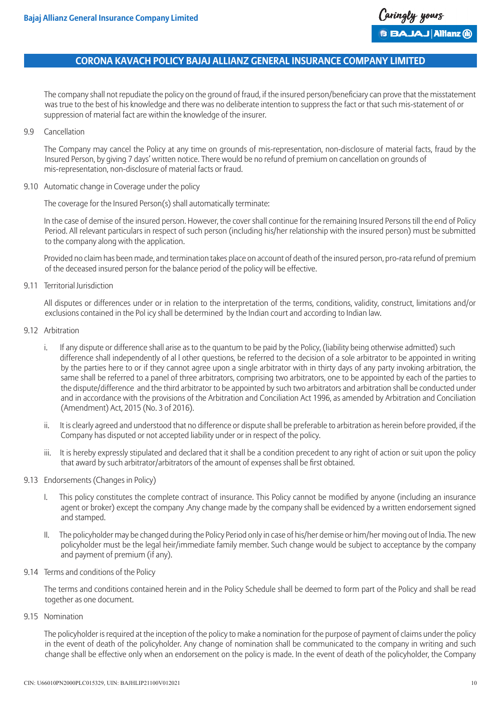

 The company shall not repudiate the policy on the ground of fraud, if the insured person/beneficiary can prove that the misstatement was true to the best of his knowledge and there was no deliberate intention to suppress the fact or that such mis-statement of or suppression of material fact are within the knowledge of the insurer.

9.9 Cancellation

 The Company may cancel the Policy at any time on grounds of mis-representation, non-disclosure of material facts, fraud by the Insured Person, by giving 7 days' written notice. There would be no refund of premium on cancellation on grounds of mis-representation, non-disclosure of material facts or fraud.

9.10 Automatic change in Coverage under the policy

 The coverage for the Insured Person(s) shall automatically terminate:

 In the case of demise of the insured person. However, the cover shall continue for the remaining Insured Persons till the end of Policy Period. All relevant particulars in respect of such person (including his/her relationship with the insured person) must be submitted to the company along with the application.

 Provided no claim has been made, and termination takes place on account of death of the insured person, pro-rata refund of premium of the deceased insured person for the balance period of the policy will be effective.

9.11 Territorial Jurisdiction

 All disputes or differences under or in relation to the interpretation of the terms, conditions, validity, construct, limitations and/or exclusions contained in the Pol icy shall be determined by the Indian court and according to Indian law.

- 9.12 Arbitration
	- i. If any dispute or difference shall arise as to the quantum to be paid by the Policy, (liability being otherwise admitted) such difference shall independently of al l other questions, be referred to the decision of a sole arbitrator to be appointed in writing by the parties here to or if they cannot agree upon a single arbitrator with in thirty days of any party invoking arbitration, the same shall be referred to a panel of three arbitrators, comprising two arbitrators, one to be appointed by each of the parties to the dispute/difference and the third arbitrator to be appointed by such two arbitrators and arbitration shall be conducted under and in accordance with the provisions of the Arbitration and Conciliation Act 1996, as amended by Arbitration and Conciliation (Amendment) Act, 2015 (No. 3 of 2016).
	- ii. It is clearly agreed and understood that no difference or dispute shall be preferable to arbitration as herein before provided, if the Company has disputed or not accepted liability under or in respect of the policy.
	- iii. It is hereby expressly stipulated and declared that it shall be a condition precedent to any right of action or suit upon the policy that award by such arbitrator/arbitrators of the amount of expenses shall be first obtained.
- 9.13 Endorsements (Changes in Policy)
	- I. This policy constitutes the complete contract of insurance. This Policy cannot be modified by anyone (including an insurance agent or broker) except the company .Any change made by the company shall be evidenced by a written endorsement signed and stamped.
	- II. The policyholder may be changed during the Policy Period only in case of his/her demise or him/her moving out of India. The new policyholder must be the legal heir/immediate family member. Such change would be subject to acceptance by the company and payment of premium (if any).
- 9.14 Terms and conditions of the Policy

 The terms and conditions contained herein and in the Policy Schedule shall be deemed to form part of the Policy and shall be read together as one document.

9.15 Nomination

The policyholder is required at the inception of the policy to make a nomination for the purpose of payment of claims under the policy in the event of death of the policyholder. Any change of nomination shall be communicated to the company in writing and such change shall be effective only when an endorsement on the policy is made. In the event of death of the policyholder, the Company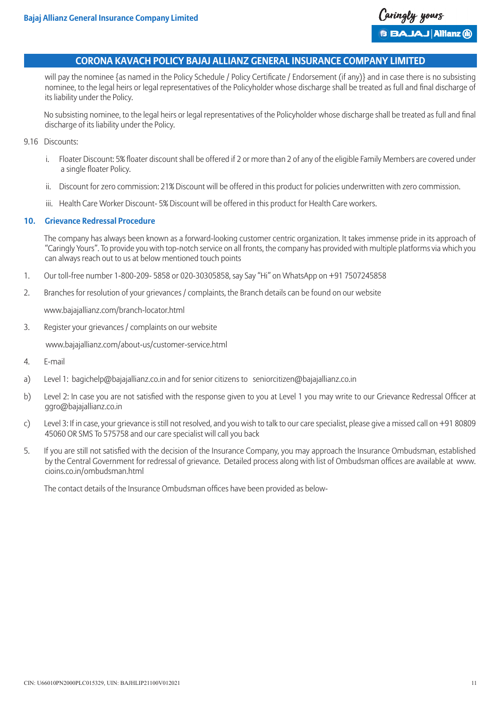

will pay the nominee {as named in the Policy Schedule / Policy Certificate / Endorsement (if any)} and in case there is no subsisting nominee, to the legal heirs or legal representatives of the Policyholder whose discharge shall be treated as full and final discharge of its liability under the Policy.

 No subsisting nominee, to the legal heirs or legal representatives of the Policyholder whose discharge shall be treated as full and final discharge of its liability under the Policy.

- 9.16 Discounts:
	- i. Floater Discount: 5% floater discount shall be offered if 2 or more than 2 of any of the eligible Family Members are covered under a single floater Policy.
	- ii. Discount for zero commission: 21% Discount will be offered in this product for policies underwritten with zero commission.
	- iii. Health Care Worker Discount- 5% Discount will be offered in this product for Health Care workers.

#### **10. Grievance Redressal Procedure**

 The company has always been known as a forward-looking customer centric organization. It takes immense pride in its approach of "Caringly Yours". To provide you with top-notch service on all fronts, the company has provided with multiple platforms via which you can always reach out to us at below mentioned touch points

- 1. Our toll-free number 1-800-209- 5858 or 020-30305858, say Say "Hi" on WhatsApp on +91 7507245858
- 2. Branches for resolution of your grievances / complaints, the Branch details can be found on our website

 www.bajajallianz.com/branch-locator.html

3. Register your grievances / complaints on our website

www.bajajallianz.com/about-us/customer-service.html

- 4. E-mail
- a) Level 1: bagichelp@bajajallianz.co.in and for senior citizens to seniorcitizen@bajajallianz.co.in
- b) Level 2: In case you are not satisfied with the response given to you at Level 1 you may write to our Grievance Redressal Officer at ggro@bajajallianz.co.in
- c) Level 3: If in case, your grievance isstill not resolved, and you wish to talk to our care specialist, please give a missed call on +91 80809 45060 OR SMS To 575758 and our care specialist will call you back
- 5. If you are still not satisfied with the decision of the Insurance Company, you may approach the Insurance Ombudsman, established by the Central Government for redressal of grievance. Detailed process along with list of Ombudsman offices are available at www. cioins.co.in/ombudsman.html

 The contact details of the Insurance Ombudsman offices have been provided as below-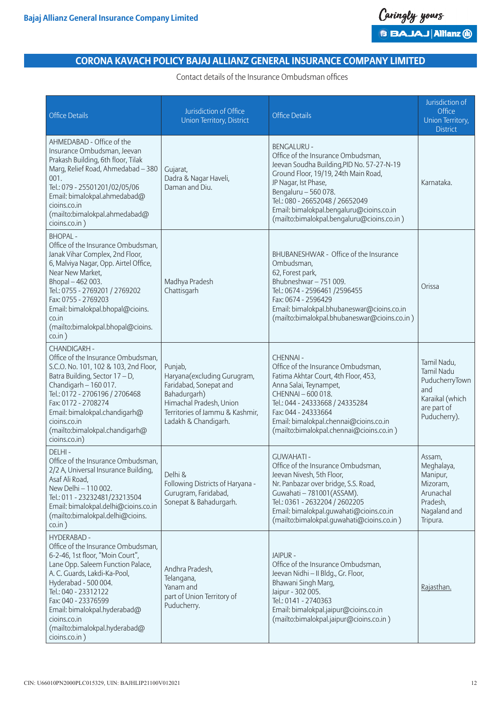

Contact details of the Insurance Ombudsman offices

| <b>Office Details</b>                                                                                                                                                                                                                                                                                                                      | Jurisdiction of Office<br><b>Union Territory, District</b>                                                                                                             | <b>Office Details</b>                                                                                                                                                                                                                                                                                                       | Jurisdiction of<br>Office<br>Union Territory,<br><b>District</b>                                            |
|--------------------------------------------------------------------------------------------------------------------------------------------------------------------------------------------------------------------------------------------------------------------------------------------------------------------------------------------|------------------------------------------------------------------------------------------------------------------------------------------------------------------------|-----------------------------------------------------------------------------------------------------------------------------------------------------------------------------------------------------------------------------------------------------------------------------------------------------------------------------|-------------------------------------------------------------------------------------------------------------|
| AHMEDABAD - Office of the<br>Insurance Ombudsman, Jeevan<br>Prakash Building, 6th floor, Tilak<br>Marg, Relief Road, Ahmedabad - 380<br>001.<br>Tel.: 079 - 25501201/02/05/06<br>Email: bimalokpal.ahmedabad@<br>cioins.co.in<br>(mailto:bimalokpal.ahmedabad@<br>cioins.co.in)                                                            | Gujarat,<br>Dadra & Nagar Haveli,<br>Daman and Diu.                                                                                                                    | <b>BENGALURU -</b><br>Office of the Insurance Ombudsman,<br>Jeevan Soudha Building, PID No. 57-27-N-19<br>Ground Floor, 19/19, 24th Main Road,<br>JP Nagar, Ist Phase,<br>Bengaluru - 560 078.<br>Tel.: 080 - 26652048 / 26652049<br>Email: bimalokpal.bengaluru@cioins.co.in<br>(mailto:bimalokpal.bengaluru@cioins.co.in) | Karnataka.                                                                                                  |
| <b>BHOPAL-</b><br>Office of the Insurance Ombudsman,<br>Janak Vihar Complex, 2nd Floor,<br>6, Malviya Nagar, Opp. Airtel Office,<br>Near New Market,<br>Bhopal-462003.<br>Tel.: 0755 - 2769201 / 2769202<br>Fax: 0755 - 2769203<br>Email: bimalokpal.bhopal@cioins.<br>co.in<br>(mailto:bimalokpal.bhopal@cioins.<br>$\cos$ .in $)$        | Madhya Pradesh<br>Chattisgarh                                                                                                                                          | BHUBANESHWAR - Office of the Insurance<br>Ombudsman,<br>62, Forest park,<br>Bhubneshwar - 751 009.<br>Tel.: 0674 - 2596461 /2596455<br>Fax: 0674 - 2596429<br>Email: bimalokpal.bhubaneswar@cioins.co.in<br>(mailto:bimalokpal.bhubaneswar@cioins.co.in)                                                                    | Orissa                                                                                                      |
| <b>CHANDIGARH -</b><br>Office of the Insurance Ombudsman,<br>S.C.O. No. 101, 102 & 103, 2nd Floor,<br>Batra Building, Sector 17 - D,<br>Chandigarh - 160 017.<br>Tel.: 0172 - 2706196 / 2706468<br>Fax: 0172 - 2708274<br>Email: bimalokpal.chandigarh@<br>cioins.co.in<br>(mailto:bimalokpal.chandigarh@<br>cioins.co.in)                 | Punjab,<br>Haryana(excluding Gurugram,<br>Faridabad, Sonepat and<br>Bahadurgarh)<br>Himachal Pradesh, Union<br>Territories of Jammu & Kashmir,<br>Ladakh & Chandigarh. | <b>CHENNAI -</b><br>Office of the Insurance Ombudsman,<br>Fatima Akhtar Court, 4th Floor, 453,<br>Anna Salai, Teynampet,<br>CHENNAI - 600 018.<br>Tel.: 044 - 24333668 / 24335284<br>Fax: 044 - 24333664<br>Email: bimalokpal.chennai@cioins.co.in<br>(mailto:bimalokpal.chennai@cioins.co.in)                              | Tamil Nadu,<br><b>Tamil Nadu</b><br>PuducherryTown<br>and<br>Karaikal (which<br>are part of<br>Puducherry). |
| DELHI-<br>Office of the Insurance Ombudsman,<br>2/2 A, Universal Insurance Building,<br>Asaf Ali Road,<br>New Delhi - 110 002.<br>Tel.: 011 - 23232481/23213504<br>Email: bimalokpal.delhi@cioins.co.in<br>(mailto:bimalokpal.delhi@cioins.<br>$\cos$ .in $)$                                                                              | Delhi &<br>Following Districts of Haryana -<br>Gurugram, Faridabad,<br>Sonepat & Bahadurgarh.                                                                          | <b>GUWAHATI-</b><br>Office of the Insurance Ombudsman,<br>Jeevan Nivesh, 5th Floor,<br>Nr. Panbazar over bridge, S.S. Road,<br>Guwahati - 781001 (ASSAM).<br>Tel.: 0361 - 2632204 / 2602205<br>Email: bimalokpal.guwahati@cioins.co.in<br>(mailto:bimalokpal.quwahati@cioins.co.in)                                         | Assam,<br>Meghalaya,<br>Manipur,<br>Mizoram,<br>Arunachal<br>Pradesh,<br>Nagaland and<br>Tripura.           |
| <b>HYDERABAD -</b><br>Office of the Insurance Ombudsman,<br>6-2-46, 1st floor, "Moin Court",<br>Lane Opp. Saleem Function Palace,<br>A. C. Guards, Lakdi-Ka-Pool,<br>Hyderabad - 500 004.<br>Tel.: 040 - 23312122<br>Fax: 040 - 23376599<br>Email: bimalokpal.hyderabad@<br>cioins.co.in<br>(mailto:bimalokpal.hyderabad@<br>cioins.co.in) | Andhra Pradesh,<br>Telangana,<br>Yanam and<br>part of Union Territory of<br>Puducherry.                                                                                | <b>JAIPUR -</b><br>Office of the Insurance Ombudsman,<br>Jeevan Nidhi - II Bldg., Gr. Floor,<br>Bhawani Singh Marg,<br>Jaipur - 302 005.<br>Tel.: 0141 - 2740363<br>Email: bimalokpal.jaipur@cioins.co.in<br>(mailto:bimalokpal.jaipur@cioins.co.in)                                                                        | Rajasthan.                                                                                                  |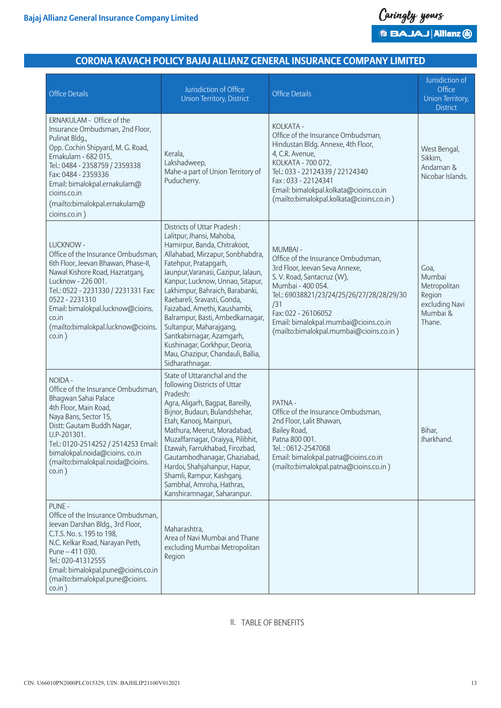

| <b>Office Details</b>                                                                                                                                                                                                                                                                                          | Jurisdiction of Office<br><b>Union Territory, District</b>                                                                                                                                                                                                                                                                                                                                                                                                                                                              | <b>Office Details</b>                                                                                                                                                                                                                                                                                    | Jurisdiction of<br>Office<br>Union Territory,<br><b>District</b>                 |
|----------------------------------------------------------------------------------------------------------------------------------------------------------------------------------------------------------------------------------------------------------------------------------------------------------------|-------------------------------------------------------------------------------------------------------------------------------------------------------------------------------------------------------------------------------------------------------------------------------------------------------------------------------------------------------------------------------------------------------------------------------------------------------------------------------------------------------------------------|----------------------------------------------------------------------------------------------------------------------------------------------------------------------------------------------------------------------------------------------------------------------------------------------------------|----------------------------------------------------------------------------------|
| ERNAKULAM - Office of the<br>Insurance Ombudsman, 2nd Floor,<br>Pulinat Bldg.,<br>Opp. Cochin Shipyard, M. G. Road,<br>Ernakulam - 682 015.<br>Tel.: 0484 - 2358759 / 2359338<br>Fax: 0484 - 2359336<br>Email: bimalokpal.ernakulam@<br>cioins.co.in<br>(mailto:bimalokpal.ernakulam@<br>cioins.co.in)         | Kerala,<br>Lakshadweep,<br>Mahe-a part of Union Territory of<br>Puducherry.                                                                                                                                                                                                                                                                                                                                                                                                                                             | KOLKATA -<br>Office of the Insurance Ombudsman,<br>Hindustan Bldg. Annexe, 4th Floor,<br>4, C.R. Avenue,<br>KOLKATA - 700 072.<br>Tel.: 033 - 22124339 / 22124340<br>Fax: 033 - 22124341<br>Email: bimalokpal.kolkata@cioins.co.in<br>(mailto:bimalokpal.kolkata@cioins.co.in)                           | West Bengal,<br>Sikkim,<br>Andaman &<br>Nicobar Islands.                         |
| LUCKNOW -<br>Office of the Insurance Ombudsman,<br>6th Floor, Jeevan Bhawan, Phase-II,<br>Nawal Kishore Road, Hazratganj,<br>Lucknow - 226 001.<br>Tel.: 0522 - 2231330 / 2231331 Fax:<br>0522 - 2231310<br>Email: bimalokpal.lucknow@cioins.<br>co.in<br>(mailto:bimalokpal.lucknow@cioins.<br>$\cos$ .in $)$ | Districts of Uttar Pradesh:<br>Lalitpur, Jhansi, Mahoba,<br>Hamirpur, Banda, Chitrakoot,<br>Allahabad, Mirzapur, Sonbhabdra,<br>Fatehpur, Pratapgarh,<br>Jaunpur, Varanasi, Gazipur, Jalaun,<br>Kanpur, Lucknow, Unnao, Sitapur,<br>Lakhimpur, Bahraich, Barabanki,<br>Raebareli, Sravasti, Gonda,<br>Faizabad, Amethi, Kaushambi,<br>Balrampur, Basti, Ambedkarnagar,<br>Sultanpur, Maharajgang,<br>Santkabirnagar, Azamgarh,<br>Kushinagar, Gorkhpur, Deoria,<br>Mau, Ghazipur, Chandauli, Ballia,<br>Sidharathnagar. | <b>MUMBAI-</b><br>Office of the Insurance Ombudsman,<br>3rd Floor, Jeevan Seva Annexe,<br>S. V. Road, Santacruz (W),<br>Mumbai - 400 054.<br>Tel.: 69038821/23/24/25/26/27/28/28/29/30<br>/31<br>Fax: 022 - 26106052<br>Email: bimalokpal.mumbai@cioins.co.in<br>(mailto:bimalokpal.mumbai@cioins.co.in) | Goa,<br>Mumbai<br>Metropolitan<br>Region<br>excluding Navi<br>Mumbai &<br>Thane. |
| NOIDA -<br>Office of the Insurance Ombudsman,<br>Bhagwan Sahai Palace<br>4th Floor, Main Road,<br>Naya Bans, Sector 15,<br>Distt: Gautam Buddh Nagar,<br>U.P-201301.<br>Tel.: 0120-2514252 / 2514253 Email:<br>bimalokpal.noida@cioins.co.in<br>(mailto:bimalokpal.noida@cioins.<br>$\cos$ .in $)$             | State of Uttaranchal and the<br>following Districts of Uttar<br>Pradesh:<br>Agra, Aligarh, Bagpat, Bareilly,<br>Bijnor, Budaun, Bulandshehar,<br>Etah, Kanooj, Mainpuri,<br>Mathura, Meerut, Moradabad,<br>Muzaffarnagar, Oraiyya, Pilibhit,<br>Etawah, Farrukhabad, Firozbad,<br>Gautambodhanagar, Ghaziabad,<br>Hardoi, Shahjahanpur, Hapur,<br>Shamli, Rampur, Kashganj,<br>Sambhal, Amroha, Hathras,<br>Kanshiramnagar, Saharanpur.                                                                                 | PATNA -<br>Office of the Insurance Ombudsman,<br>2nd Floor, Lalit Bhawan,<br>Bailey Road,<br>Patna 800 001.<br>Tel.: 0612-2547068<br>Email: bimalokpal.patna@cioins.co.in<br>(mailto:bimalokpal.patna@cioins.co.in)                                                                                      | Bihar,<br>Jharkhand.                                                             |
| <b>PUNE -</b><br>Office of the Insurance Ombudsman,<br>Jeevan Darshan Bldg., 3rd Floor,<br>C.T.S. No. s. 195 to 198,<br>N.C. Kelkar Road, Narayan Peth,<br>Pune - 411 030.<br>Tel.: 020-41312555<br>Email: bimalokpal.pune@cioins.co.in<br>(mailto:bimalokpal.pune@cioins.<br>$\cos$ .in $)$                   | Maharashtra,<br>Area of Navi Mumbai and Thane<br>excluding Mumbai Metropolitan<br>Region                                                                                                                                                                                                                                                                                                                                                                                                                                |                                                                                                                                                                                                                                                                                                          |                                                                                  |

II. TABLE OF BENEFITS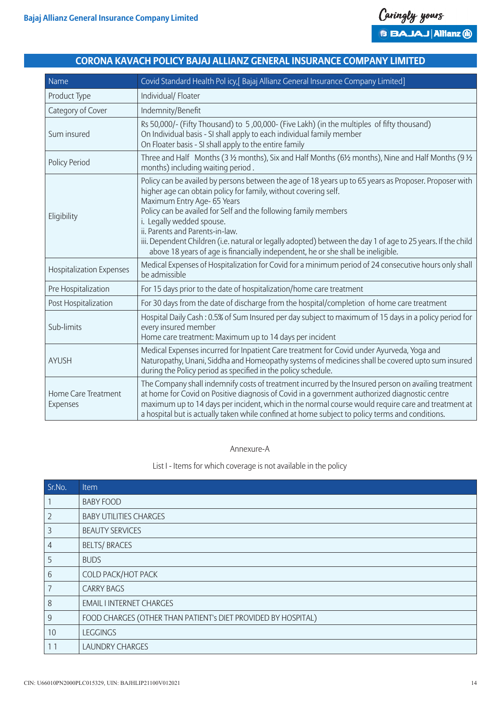| Name                            | Covid Standard Health Pol icy, [ Bajaj Allianz General Insurance Company Limited]                                                                                                                                                                                                                                                                                                                                                                                                                                                               |
|---------------------------------|-------------------------------------------------------------------------------------------------------------------------------------------------------------------------------------------------------------------------------------------------------------------------------------------------------------------------------------------------------------------------------------------------------------------------------------------------------------------------------------------------------------------------------------------------|
| Product Type                    | Individual/ Floater                                                                                                                                                                                                                                                                                                                                                                                                                                                                                                                             |
| Category of Cover               | Indemnity/Benefit                                                                                                                                                                                                                                                                                                                                                                                                                                                                                                                               |
| Sum insured                     | Rs 50,000/- (Fifty Thousand) to 5,00,000- (Five Lakh) (in the multiples of fifty thousand)<br>On Individual basis - SI shall apply to each individual family member<br>On Floater basis - SI shall apply to the entire family                                                                                                                                                                                                                                                                                                                   |
| <b>Policy Period</b>            | Three and Half Months (3 1/2 months), Six and Half Months (61/2 months), Nine and Half Months (9 1/2<br>months) including waiting period.                                                                                                                                                                                                                                                                                                                                                                                                       |
| Eligibility                     | Policy can be availed by persons between the age of 18 years up to 65 years as Proposer. Proposer with<br>higher age can obtain policy for family, without covering self.<br>Maximum Entry Age- 65 Years<br>Policy can be availed for Self and the following family members<br>i. Legally wedded spouse.<br>ii. Parents and Parents-in-law.<br>iii. Dependent Children (i.e. natural or legally adopted) between the day 1 of age to 25 years. If the child<br>above 18 years of age is financially independent, he or she shall be ineligible. |
| <b>Hospitalization Expenses</b> | Medical Expenses of Hospitalization for Covid for a minimum period of 24 consecutive hours only shall<br>be admissible                                                                                                                                                                                                                                                                                                                                                                                                                          |
| Pre Hospitalization             | For 15 days prior to the date of hospitalization/home care treatment                                                                                                                                                                                                                                                                                                                                                                                                                                                                            |
| Post Hospitalization            | For 30 days from the date of discharge from the hospital/completion of home care treatment                                                                                                                                                                                                                                                                                                                                                                                                                                                      |
| Sub-limits                      | Hospital Daily Cash: 0.5% of Sum Insured per day subject to maximum of 15 days in a policy period for<br>every insured member<br>Home care treatment: Maximum up to 14 days per incident                                                                                                                                                                                                                                                                                                                                                        |
| <b>AYUSH</b>                    | Medical Expenses incurred for Inpatient Care treatment for Covid under Ayurveda, Yoga and<br>Naturopathy, Unani, Siddha and Homeopathy systems of medicines shall be covered upto sum insured<br>during the Policy period as specified in the policy schedule.                                                                                                                                                                                                                                                                                  |
| Home Care Treatment<br>Expenses | The Company shall indemnify costs of treatment incurred by the Insured person on availing treatment<br>at home for Covid on Positive diagnosis of Covid in a government authorized diagnostic centre<br>maximum up to 14 days per incident, which in the normal course would require care and treatment at<br>a hospital but is actually taken while confined at home subject to policy terms and conditions.                                                                                                                                   |

Annexure-A

#### List I - Items for which coverage is not available in the policy

| Sr.No.         | <b>Item</b>                                                   |
|----------------|---------------------------------------------------------------|
|                | <b>BABY FOOD</b>                                              |
| $\overline{2}$ | <b>BABY UTILITIES CHARGES</b>                                 |
| 3              | <b>BEAUTY SERVICES</b>                                        |
| $\overline{4}$ | <b>BELTS/BRACES</b>                                           |
| 5              | <b>BUDS</b>                                                   |
| 6              | COLD PACK/HOT PACK                                            |
| 7              | <b>CARRY BAGS</b>                                             |
| 8              | <b>EMAIL I INTERNET CHARGES</b>                               |
| 9              | FOOD CHARGES (OTHER THAN PATIENT's DIET PROVIDED BY HOSPITAL) |
| 10             | <b>LEGGINGS</b>                                               |
| 11             | <b>LAUNDRY CHARGES</b>                                        |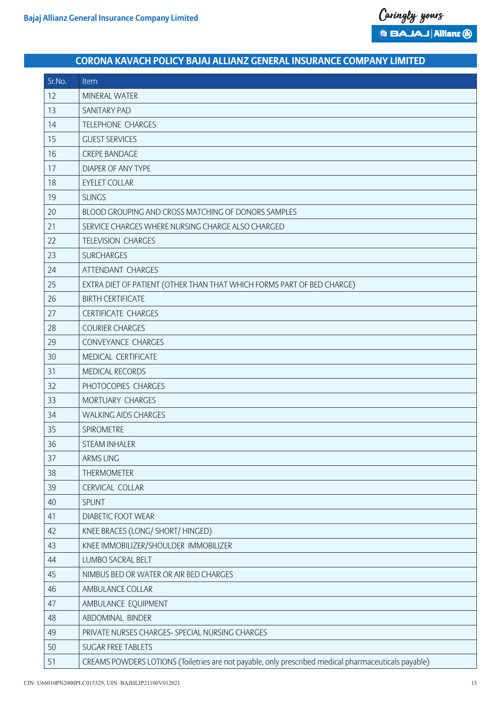| Sr.No. | <b>Item</b>                                                                                          |
|--------|------------------------------------------------------------------------------------------------------|
| 12     | <b>MINERAL WATER</b>                                                                                 |
| 13     | <b>SANITARY PAD</b>                                                                                  |
| 14     | <b>TELEPHONE CHARGES</b>                                                                             |
| 15     | <b>GUEST SERVICES</b>                                                                                |
| 16     | <b>CREPE BANDAGE</b>                                                                                 |
| 17     | <b>DIAPER OF ANY TYPE</b>                                                                            |
| 18     | <b>EYELET COLLAR</b>                                                                                 |
| 19     | <b>SLINGS</b>                                                                                        |
| 20     | BLOOD GROUPING AND CROSS MATCHING OF DONORS SAMPLES                                                  |
| 21     | SERVICE CHARGES WHERE NURSING CHARGE ALSO CHARGED                                                    |
| 22     | <b>TELEVISION CHARGES</b>                                                                            |
| 23     | <b>SURCHARGES</b>                                                                                    |
| 24     | ATTENDANT CHARGES                                                                                    |
| 25     | EXTRA DIET OF PATIENT (OTHER THAN THAT WHICH FORMS PART OF BED CHARGE)                               |
| 26     | <b>BIRTH CERTIFICATE</b>                                                                             |
| 27     | <b>CERTIFICATE CHARGES</b>                                                                           |
| 28     | <b>COURIER CHARGES</b>                                                                               |
| 29     | CONVEYANCE CHARGES                                                                                   |
| 30     | MEDICAL CERTIFICATE                                                                                  |
| 31     | <b>MEDICAL RECORDS</b>                                                                               |
| 32     | PHOTOCOPIES CHARGES                                                                                  |
| 33     | <b>MORTUARY CHARGES</b>                                                                              |
| 34     | <b>WALKING AIDS CHARGES</b>                                                                          |
| 35     | SPIROMETRE                                                                                           |
| 36     | <b>STEAM INHALER</b>                                                                                 |
| 37     | <b>ARMS LING</b>                                                                                     |
| 38     | <b>THERMOMETER</b>                                                                                   |
| 39     | <b>CERVICAL COLLAR</b>                                                                               |
| 40     | <b>SPLINT</b>                                                                                        |
| 41     | <b>DIABETIC FOOT WEAR</b>                                                                            |
| 42     | KNEE BRACES (LONG/ SHORT/ HINGED)                                                                    |
| 43     | KNEE IMMOBILIZER/SHOULDER IMMOBILIZER                                                                |
| 44     | LUMBO SACRAL BELT                                                                                    |
| 45     | NIMBUS BED OR WATER OR AIR BED CHARGES                                                               |
| 46     | AMBULANCE COLLAR                                                                                     |
| 47     | AMBULANCE EQUIPMENT                                                                                  |
| 48     | ABDOMINAL BINDER                                                                                     |
| 49     | PRIVATE NURSES CHARGES- SPECIAL NURSING CHARGES                                                      |
| 50     | <b>SUGAR FREE TABLETS</b>                                                                            |
| 51     | CREAMS POWDERS LOTIONS (Toiletries are not payable, only prescribed medical pharmaceuticals payable) |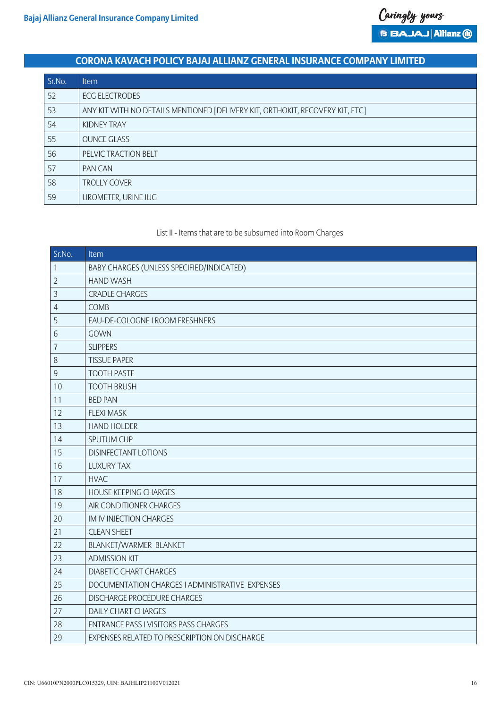| Sr.No. | <b>Item</b>                                                                   |
|--------|-------------------------------------------------------------------------------|
| 52     | <b>ECG ELECTRODES</b>                                                         |
| 53     | ANY KIT WITH NO DETAILS MENTIONED [DELIVERY KIT, ORTHOKIT, RECOVERY KIT, ETC] |
| 54     | KIDNEY TRAY                                                                   |
| 55     | <b>OUNCE GLASS</b>                                                            |
| 56     | PELVIC TRACTION BELT                                                          |
| 57     | <b>PAN CAN</b>                                                                |
| 58     | <b>TROLLY COVER</b>                                                           |
| 59     | UROMETER, URINE JUG                                                           |

List II - Items that are to be subsumed into Room Charges

| Sr.No.         | Item                                            |
|----------------|-------------------------------------------------|
| $\mathbf{1}$   | BABY CHARGES (UNLESS SPECIFIED/INDICATED)       |
| 2              | <b>HAND WASH</b>                                |
| 3              | <b>CRADLE CHARGES</b>                           |
| 4              | <b>COMB</b>                                     |
| 5              | EAU-DE-COLOGNE I ROOM FRESHNERS                 |
| 6              | <b>GOWN</b>                                     |
| $\overline{7}$ | <b>SLIPPERS</b>                                 |
| 8              | <b>TISSUE PAPER</b>                             |
| $\mathsf 9$    | <b>TOOTH PASTE</b>                              |
| 10             | <b>TOOTH BRUSH</b>                              |
| 11             | <b>BED PAN</b>                                  |
| 12             | <b>FLEXI MASK</b>                               |
| 13             | <b>HAND HOLDER</b>                              |
| 14             | SPUTUM CUP                                      |
| 15             | <b>DISINFECTANT LOTIONS</b>                     |
| 16             | <b>LUXURY TAX</b>                               |
| 17             | <b>HVAC</b>                                     |
| 18             | <b>HOUSE KEEPING CHARGES</b>                    |
| 19             | AIR CONDITIONER CHARGES                         |
| 20             | <b>IM IV INJECTION CHARGES</b>                  |
| 21             | <b>CLEAN SHEET</b>                              |
| 22             | BLANKET/WARMER BLANKET                          |
| 23             | <b>ADMISSION KIT</b>                            |
| 24             | <b>DIABETIC CHART CHARGES</b>                   |
| 25             | DOCUMENTATION CHARGES I ADMINISTRATIVE EXPENSES |
| 26             | <b>DISCHARGE PROCEDURE CHARGES</b>              |
| 27             | <b>DAILY CHART CHARGES</b>                      |
| 28             | <b>ENTRANCE PASS I VISITORS PASS CHARGES</b>    |
| 29             | EXPENSES RELATED TO PRESCRIPTION ON DISCHARGE   |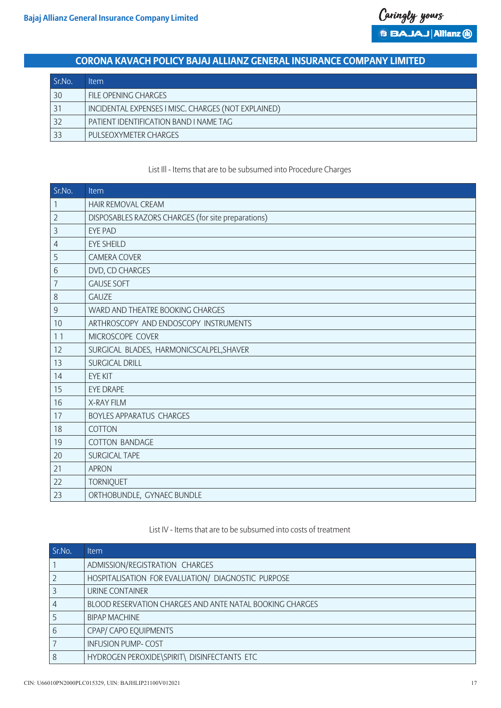

| Sr.No. | <b>Item</b>                                         |
|--------|-----------------------------------------------------|
| 30     | FILE OPENING CHARGES                                |
|        | INCIDENTAL EXPENSES I MISC. CHARGES (NOT EXPLAINED) |
| 32     | PATIENT IDENTIFICATION BAND I NAME TAG              |
| 33     | PULSEOXYMETER CHARGES                               |

### List Ill - Items that are to be subsumed into Procedure Charges

| Sr.No.         | <b>Item</b>                                        |
|----------------|----------------------------------------------------|
| 1              | HAIR REMOVAL CREAM                                 |
| $\overline{2}$ | DISPOSABLES RAZORS CHARGES (for site preparations) |
| $\mathsf{3}$   | <b>EYE PAD</b>                                     |
| $\overline{4}$ | <b>EYE SHEILD</b>                                  |
| 5              | <b>CAMERA COVER</b>                                |
| 6              | DVD, CD CHARGES                                    |
| $\overline{7}$ | <b>GAUSE SOFT</b>                                  |
| 8              | <b>GAUZE</b>                                       |
| $\mathsf g$    | WARD AND THEATRE BOOKING CHARGES                   |
| 10             | ARTHROSCOPY AND ENDOSCOPY INSTRUMENTS              |
| 11             | MICROSCOPE COVER                                   |
| 12             | SURGICAL BLADES, HARMONICSCALPEL, SHAVER           |
| 13             | <b>SURGICAL DRILL</b>                              |
| 14             | <b>EYE KIT</b>                                     |
| 15             | <b>EYE DRAPE</b>                                   |
| 16             | <b>X-RAY FILM</b>                                  |
| 17             | <b>BOYLES APPARATUS CHARGES</b>                    |
| 18             | <b>COTTON</b>                                      |
| 19             | <b>COTTON BANDAGE</b>                              |
| 20             | <b>SURGICAL TAPE</b>                               |
| 21             | <b>APRON</b>                                       |
| 22             | <b>TORNIQUET</b>                                   |
| 23             | ORTHOBUNDLE, GYNAEC BUNDLE                         |

### List IV - Items that are to be subsumed into costs of treatment

| Sr.No. | <b>Item</b>                                              |
|--------|----------------------------------------------------------|
|        | ADMISSION/REGISTRATION CHARGES                           |
|        | HOSPITALISATION FOR EVALUATION/ DIAGNOSTIC PURPOSE       |
|        | URINE CONTAINER                                          |
|        | BLOOD RESERVATION CHARGES AND ANTE NATAL BOOKING CHARGES |
|        | <b>BIPAP MACHINE</b>                                     |
| 6      | CPAP/ CAPO EQUIPMENTS                                    |
|        | <b>INFUSION PUMP- COST</b>                               |
| 8      | HYDROGEN PEROXIDE\SPIRIT\ DISINFECTANTS ETC              |